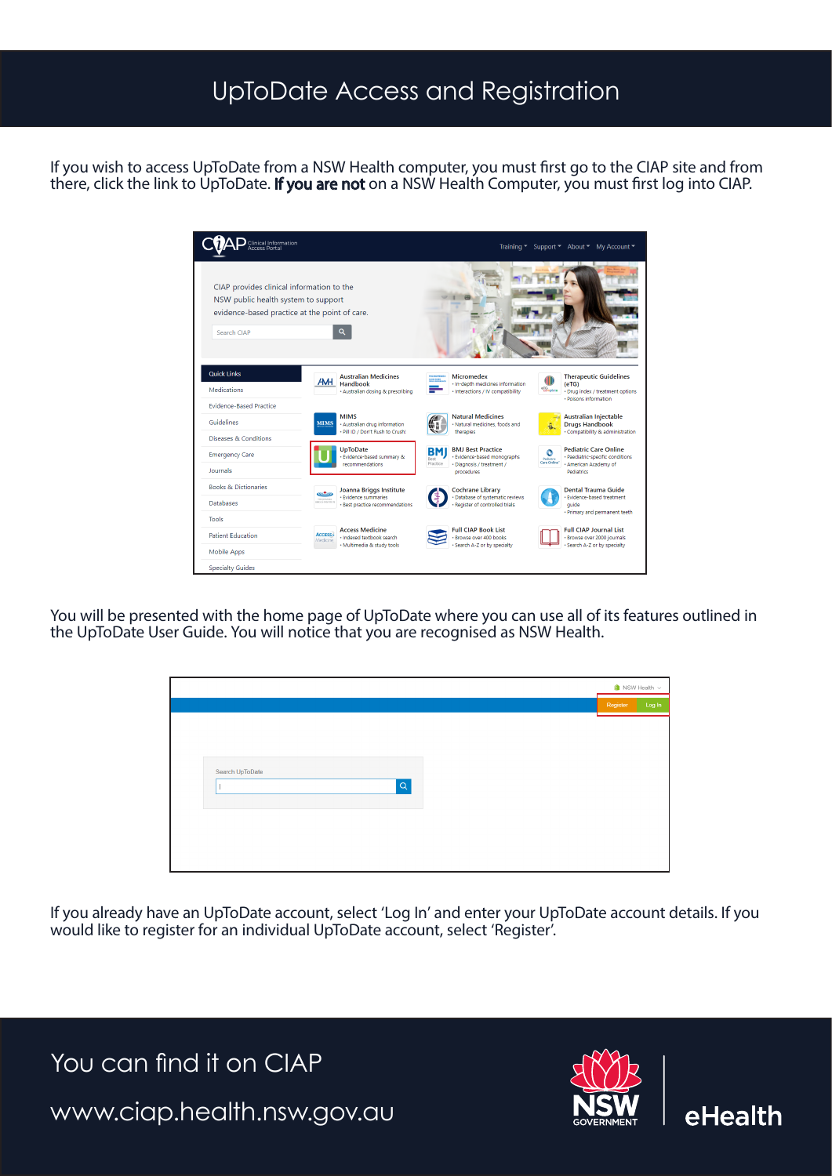## UpToDate Access and Registration

If you wish to access UpToDate from a NSW Health computer, you must first go to the CIAP site and from there, click the link to UpToDate. If you are not on a NSW Health Computer, you must first log into CIAP.



You will be presented with the home page of UpToDate where you can use all of its features outlined in the UpToDate User Guide. You will notice that you are recognised as NSW Health.

|                             | $\blacksquare$ NSW Health $\vee$ |        |
|-----------------------------|----------------------------------|--------|
|                             | Register                         | Log In |
|                             |                                  |        |
|                             |                                  |        |
|                             |                                  |        |
| Search UpToDate<br>$\alpha$ |                                  |        |
|                             |                                  |        |
|                             |                                  |        |
|                             |                                  |        |
|                             |                                  |        |
|                             |                                  |        |

If you already have an UpToDate account, select 'Log In' and enter your UpToDate account details. If you would like to register for an individual UpToDate account, select 'Register'.

You can find it on CIAP www.ciap.health.nsw.gov.au



eHealth